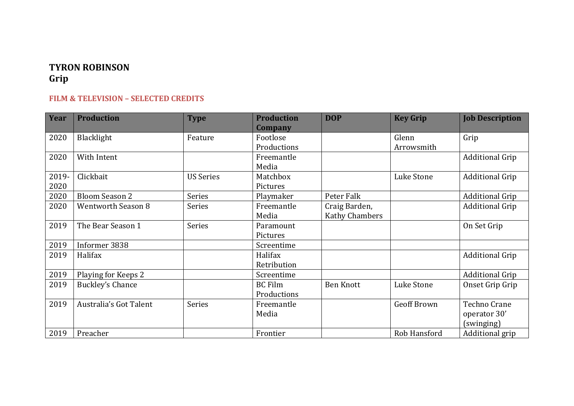## **TYRON ROBINSON Grip**

## **FILM & TELEVISION – SELECTED CREDITS**

| <b>Year</b> | <b>Production</b>         | <b>Type</b>      | <b>Production</b> | <b>DOP</b>            | <b>Key Grip</b>    | <b>Job Description</b> |
|-------------|---------------------------|------------------|-------------------|-----------------------|--------------------|------------------------|
|             |                           |                  | Company           |                       |                    |                        |
| 2020        | Blacklight                | Feature          | Footlose          |                       | Glenn              | Grip                   |
|             |                           |                  | Productions       |                       | Arrowsmith         |                        |
| 2020        | With Intent               |                  | Freemantle        |                       |                    | <b>Additional Grip</b> |
|             |                           |                  | Media             |                       |                    |                        |
| 2019-       | Clickbait                 | <b>US Series</b> | Matchbox          |                       | Luke Stone         | <b>Additional Grip</b> |
| 2020        |                           |                  | Pictures          |                       |                    |                        |
| 2020        | <b>Bloom Season 2</b>     | Series           | Playmaker         | Peter Falk            |                    | <b>Additional Grip</b> |
| 2020        | <b>Wentworth Season 8</b> | <b>Series</b>    | Freemantle        | Craig Barden,         |                    | <b>Additional Grip</b> |
|             |                           |                  | Media             | <b>Kathy Chambers</b> |                    |                        |
| 2019        | The Bear Season 1         | <b>Series</b>    | Paramount         |                       |                    | On Set Grip            |
|             |                           |                  | Pictures          |                       |                    |                        |
| 2019        | Informer 3838             |                  | Screentime        |                       |                    |                        |
| 2019        | Halifax                   |                  | Halifax           |                       |                    | <b>Additional Grip</b> |
|             |                           |                  | Retribution       |                       |                    |                        |
| 2019        | Playing for Keeps 2       |                  | Screentime        |                       |                    | <b>Additional Grip</b> |
| 2019        | <b>Buckley's Chance</b>   |                  | <b>BC</b> Film    | <b>Ben Knott</b>      | Luke Stone         | Onset Grip Grip        |
|             |                           |                  | Productions       |                       |                    |                        |
| 2019        | Australia's Got Talent    | <b>Series</b>    | Freemantle        |                       | <b>Geoff Brown</b> | Techno Crane           |
|             |                           |                  | Media             |                       |                    | operator 30'           |
|             |                           |                  |                   |                       |                    | (swinging)             |
| 2019        | Preacher                  |                  | Frontier          |                       | Rob Hansford       | Additional grip        |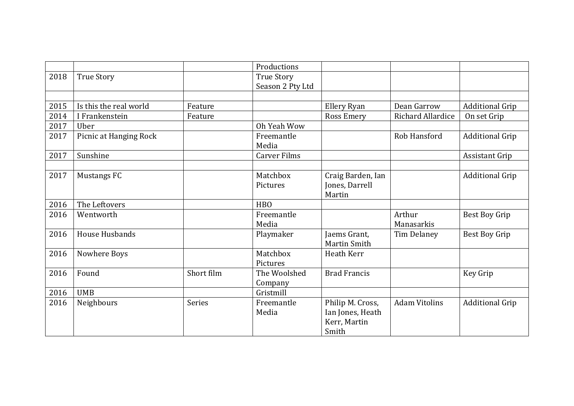|      |                        |               | Productions                           |                                                               |                          |                        |
|------|------------------------|---------------|---------------------------------------|---------------------------------------------------------------|--------------------------|------------------------|
| 2018 | <b>True Story</b>      |               | <b>True Story</b><br>Season 2 Pty Ltd |                                                               |                          |                        |
|      |                        |               |                                       |                                                               |                          |                        |
| 2015 | Is this the real world | Feature       |                                       | Ellery Ryan                                                   | Dean Garrow              | <b>Additional Grip</b> |
| 2014 | I Frankenstein         | Feature       |                                       | <b>Ross Emery</b>                                             | <b>Richard Allardice</b> | On set Grip            |
| 2017 | Uber                   |               | Oh Yeah Wow                           |                                                               |                          |                        |
| 2017 | Picnic at Hanging Rock |               | Freemantle<br>Media                   |                                                               | Rob Hansford             | <b>Additional Grip</b> |
| 2017 | Sunshine               |               | <b>Carver Films</b>                   |                                                               |                          | Assistant Grip         |
|      |                        |               |                                       |                                                               |                          |                        |
| 2017 | <b>Mustangs FC</b>     |               | Matchbox<br>Pictures                  | Craig Barden, Ian<br>Jones, Darrell<br>Martin                 |                          | <b>Additional Grip</b> |
| 2016 | The Leftovers          |               | <b>HBO</b>                            |                                                               |                          |                        |
| 2016 | Wentworth              |               | Freemantle<br>Media                   |                                                               | Arthur<br>Manasarkis     | <b>Best Boy Grip</b>   |
| 2016 | House Husbands         |               | Playmaker                             | Jaems Grant,<br>Martin Smith                                  | Tim Delaney              | <b>Best Boy Grip</b>   |
| 2016 | Nowhere Boys           |               | Matchbox<br>Pictures                  | Heath Kerr                                                    |                          |                        |
| 2016 | Found                  | Short film    | The Woolshed<br>Company               | <b>Brad Francis</b>                                           |                          | Key Grip               |
| 2016 | <b>UMB</b>             |               | Gristmill                             |                                                               |                          |                        |
| 2016 | Neighbours             | <b>Series</b> | Freemantle<br>Media                   | Philip M. Cross,<br>Ian Jones, Heath<br>Kerr, Martin<br>Smith | <b>Adam Vitolins</b>     | <b>Additional Grip</b> |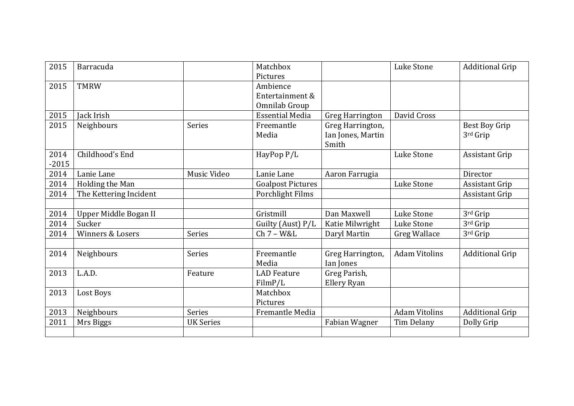| 2015    | Barracuda              |                  | Matchbox<br>Pictures     |                        | Luke Stone           | <b>Additional Grip</b> |
|---------|------------------------|------------------|--------------------------|------------------------|----------------------|------------------------|
| 2015    | <b>TMRW</b>            |                  | Ambience                 |                        |                      |                        |
|         |                        |                  | Entertainment &          |                        |                      |                        |
|         |                        |                  | Omnilab Group            |                        |                      |                        |
| 2015    | Jack Irish             |                  | <b>Essential Media</b>   | <b>Greg Harrington</b> | David Cross          |                        |
| 2015    | Neighbours             | Series           | Freemantle               | Greg Harrington,       |                      | <b>Best Boy Grip</b>   |
|         |                        |                  | Media                    | Ian Jones, Martin      |                      | 3rd Grip               |
|         |                        |                  |                          | Smith                  |                      |                        |
| 2014    | Childhood's End        |                  | HayPop P/L               |                        | Luke Stone           | <b>Assistant Grip</b>  |
| $-2015$ |                        |                  |                          |                        |                      |                        |
| 2014    | Lanie Lane             | Music Video      | Lanie Lane               | Aaron Farrugia         |                      | Director               |
| 2014    | Holding the Man        |                  | <b>Goalpost Pictures</b> |                        | Luke Stone           | <b>Assistant Grip</b>  |
| 2014    | The Kettering Incident |                  | Porchlight Films         |                        |                      | <b>Assistant Grip</b>  |
|         |                        |                  |                          |                        |                      |                        |
| 2014    | Upper Middle Bogan II  |                  | Gristmill                | Dan Maxwell            | Luke Stone           | 3rd Grip               |
| 2014    | Sucker                 |                  | Guilty (Aust) P/L        | Katie Milwright        | Luke Stone           | 3rd Grip               |
| 2014    | Winners & Losers       | Series           | $Ch 7 - W&L$             | Daryl Martin           | <b>Greg Wallace</b>  | 3rd Grip               |
|         |                        |                  |                          |                        |                      |                        |
| 2014    | Neighbours             | <b>Series</b>    | Freemantle               | Greg Harrington,       | <b>Adam Vitolins</b> | <b>Additional Grip</b> |
|         |                        |                  | Media                    | Ian Jones              |                      |                        |
| 2013    | L.A.D.                 | Feature          | <b>LAD</b> Feature       | Greg Parish,           |                      |                        |
|         |                        |                  | FilmP/L                  | Ellery Ryan            |                      |                        |
| 2013    | Lost Boys              |                  | Matchbox                 |                        |                      |                        |
|         |                        |                  | Pictures                 |                        |                      |                        |
| 2013    | Neighbours             | <b>Series</b>    | Fremantle Media          |                        | <b>Adam Vitolins</b> | <b>Additional Grip</b> |
| 2011    | Mrs Biggs              | <b>UK Series</b> |                          | Fabian Wagner          | Tim Delany           | Dolly Grip             |
|         |                        |                  |                          |                        |                      |                        |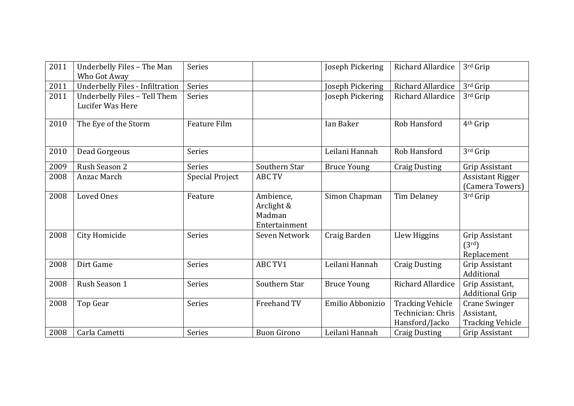| 2011 | Underbelly Files - The Man<br>Who Got Away       | <b>Series</b>          |                                                    | Joseph Pickering   | Richard Allardice                                              | 3rd Grip                                                      |
|------|--------------------------------------------------|------------------------|----------------------------------------------------|--------------------|----------------------------------------------------------------|---------------------------------------------------------------|
| 2011 | <b>Underbelly Files - Infiltration</b>           | Series                 |                                                    | Joseph Pickering   | Richard Allardice                                              | 3rd Grip                                                      |
| 2011 | Underbelly Files - Tell Them<br>Lucifer Was Here | Series                 |                                                    | Joseph Pickering   | Richard Allardice                                              | 3rd Grip                                                      |
| 2010 | The Eye of the Storm                             | <b>Feature Film</b>    |                                                    | Ian Baker          | Rob Hansford                                                   | 4 <sup>th</sup> Grip                                          |
| 2010 | Dead Gorgeous                                    | <b>Series</b>          |                                                    | Leilani Hannah     | Rob Hansford                                                   | 3rd Grip                                                      |
| 2009 | Rush Season 2                                    | <b>Series</b>          | Southern Star                                      | <b>Bruce Young</b> | <b>Craig Dusting</b>                                           | Grip Assistant                                                |
| 2008 | Anzac March                                      | <b>Special Project</b> | <b>ABC TV</b>                                      |                    |                                                                | <b>Assistant Rigger</b><br>(Camera Towers)                    |
| 2008 | <b>Loved Ones</b>                                | Feature                | Ambience.<br>Arclight &<br>Madman<br>Entertainment | Simon Chapman      | Tim Delaney                                                    | 3rd Grip                                                      |
| 2008 | City Homicide                                    | <b>Series</b>          | Seven Network                                      | Craig Barden       | Llew Higgins                                                   | Grip Assistant<br>(3 <sup>rd</sup> )<br>Replacement           |
| 2008 | Dirt Game                                        | Series                 | ABC TV1                                            | Leilani Hannah     | <b>Craig Dusting</b>                                           | Grip Assistant<br>Additional                                  |
| 2008 | Rush Season 1                                    | <b>Series</b>          | Southern Star                                      | <b>Bruce Young</b> | Richard Allardice                                              | Grip Assistant,<br><b>Additional Grip</b>                     |
| 2008 | Top Gear                                         | <b>Series</b>          | Freehand TV                                        | Emilio Abbonizio   | <b>Tracking Vehicle</b><br>Technician: Chris<br>Hansford/Jacko | <b>Crane Swinger</b><br>Assistant,<br><b>Tracking Vehicle</b> |
| 2008 | Carla Cametti                                    | Series                 | <b>Buon Girono</b>                                 | Leilani Hannah     | <b>Craig Dusting</b>                                           | Grip Assistant                                                |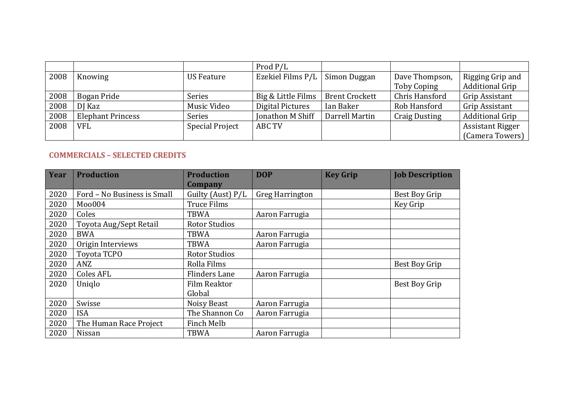|      |                          |                        | Prod P/L           |                       |                      |                         |
|------|--------------------------|------------------------|--------------------|-----------------------|----------------------|-------------------------|
| 2008 | Knowing                  | <b>US Feature</b>      | Ezekiel Films P/L  | Simon Duggan          | Dave Thompson,       | Rigging Grip and        |
|      |                          |                        |                    |                       | Toby Coping          | <b>Additional Grip</b>  |
| 2008 | Bogan Pride              | Series                 | Big & Little Films | <b>Brent Crockett</b> | Chris Hansford       | Grip Assistant          |
| 2008 | DJ Kaz                   | Music Video            | Digital Pictures   | Ian Baker             | Rob Hansford         | Grip Assistant          |
| 2008 | <b>Elephant Princess</b> | <b>Series</b>          | Jonathon M Shiff   | Darrell Martin        | <b>Craig Dusting</b> | <b>Additional Grip</b>  |
| 2008 | <b>VFL</b>               | <b>Special Project</b> | <b>ABC TV</b>      |                       |                      | <b>Assistant Rigger</b> |
|      |                          |                        |                    |                       |                      | (Camera Towers)         |

## **COMMERCIALS – SELECTED CREDITS**

| Year | <b>Production</b>           | <b>Production</b>    | <b>DOP</b>             | <b>Key Grip</b> | <b>Job Description</b> |
|------|-----------------------------|----------------------|------------------------|-----------------|------------------------|
|      |                             | Company              |                        |                 |                        |
| 2020 | Ford - No Business is Small | Guilty (Aust) P/L    | <b>Greg Harrington</b> |                 | Best Boy Grip          |
| 2020 | Moo004                      | <b>Truce Films</b>   |                        |                 | Key Grip               |
| 2020 | Coles                       | <b>TBWA</b>          | Aaron Farrugia         |                 |                        |
| 2020 | Toyota Aug/Sept Retail      | <b>Rotor Studios</b> |                        |                 |                        |
| 2020 | <b>BWA</b>                  | TBWA                 | Aaron Farrugia         |                 |                        |
| 2020 | Origin Interviews           | <b>TBWA</b>          | Aaron Farrugia         |                 |                        |
| 2020 | Toyota TCPO                 | <b>Rotor Studios</b> |                        |                 |                        |
| 2020 | ANZ                         | Rolla Films          |                        |                 | Best Boy Grip          |
| 2020 | <b>Coles AFL</b>            | <b>Flinders Lane</b> | Aaron Farrugia         |                 |                        |
| 2020 | Uniglo                      | Film Reaktor         |                        |                 | Best Boy Grip          |
|      |                             | Global               |                        |                 |                        |
| 2020 | Swisse                      | Noisy Beast          | Aaron Farrugia         |                 |                        |
| 2020 | <b>ISA</b>                  | The Shannon Co       | Aaron Farrugia         |                 |                        |
| 2020 | The Human Race Project      | Finch Melb           |                        |                 |                        |
| 2020 | Nissan                      | <b>TBWA</b>          | Aaron Farrugia         |                 |                        |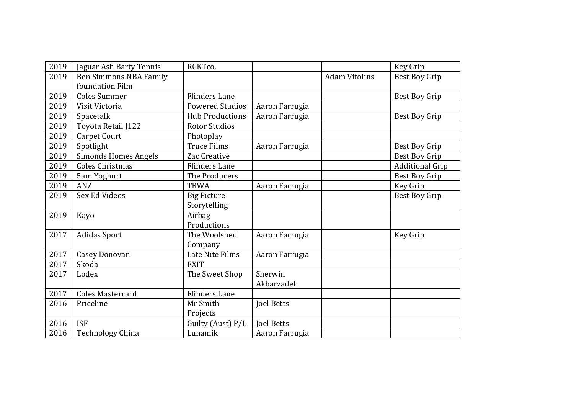| 2019 | Jaguar Ash Barty Tennis     | RCKTco.                |                   |                      | Key Grip               |
|------|-----------------------------|------------------------|-------------------|----------------------|------------------------|
| 2019 | Ben Simmons NBA Family      |                        |                   | <b>Adam Vitolins</b> | <b>Best Boy Grip</b>   |
|      | foundation Film             |                        |                   |                      |                        |
| 2019 | <b>Coles Summer</b>         | <b>Flinders Lane</b>   |                   |                      | Best Boy Grip          |
| 2019 | Visit Victoria              | <b>Powered Studios</b> | Aaron Farrugia    |                      |                        |
| 2019 | Spacetalk                   | <b>Hub Productions</b> | Aaron Farrugia    |                      | Best Boy Grip          |
| 2019 | Toyota Retail J122          | <b>Rotor Studios</b>   |                   |                      |                        |
| 2019 | <b>Carpet Court</b>         | Photoplay              |                   |                      |                        |
| 2019 | Spotlight                   | <b>Truce Films</b>     | Aaron Farrugia    |                      | Best Boy Grip          |
| 2019 | <b>Simonds Homes Angels</b> | Zac Creative           |                   |                      | Best Boy Grip          |
| 2019 | <b>Coles Christmas</b>      | <b>Flinders Lane</b>   |                   |                      | <b>Additional Grip</b> |
| 2019 | 5am Yoghurt                 | The Producers          |                   |                      | Best Boy Grip          |
| 2019 | <b>ANZ</b>                  | <b>TBWA</b>            | Aaron Farrugia    |                      | Key Grip               |
| 2019 | Sex Ed Videos               | <b>Big Picture</b>     |                   |                      | <b>Best Boy Grip</b>   |
|      |                             | Storytelling           |                   |                      |                        |
| 2019 | Kayo                        | Airbag                 |                   |                      |                        |
|      |                             | Productions            |                   |                      |                        |
| 2017 | <b>Adidas Sport</b>         | The Woolshed           | Aaron Farrugia    |                      | Key Grip               |
|      |                             | Company                |                   |                      |                        |
| 2017 | <b>Casey Donovan</b>        | Late Nite Films        | Aaron Farrugia    |                      |                        |
| 2017 | Skoda                       | <b>EXIT</b>            |                   |                      |                        |
| 2017 | Lodex                       | The Sweet Shop         | Sherwin           |                      |                        |
|      |                             |                        | Akbarzadeh        |                      |                        |
| 2017 | <b>Coles Mastercard</b>     | <b>Flinders Lane</b>   |                   |                      |                        |
| 2016 | Priceline                   | Mr Smith               | <b>Joel Betts</b> |                      |                        |
|      |                             | Projects               |                   |                      |                        |
| 2016 | <b>ISF</b>                  | Guilty (Aust) P/L      | <b>Joel Betts</b> |                      |                        |
| 2016 | <b>Technology China</b>     | Lunamik                | Aaron Farrugia    |                      |                        |